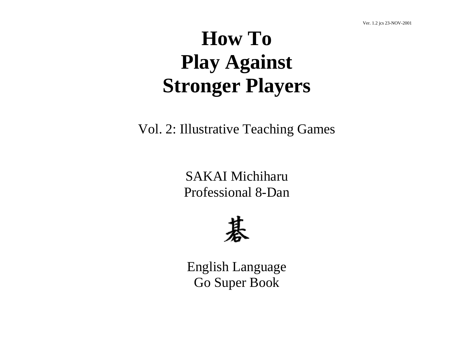# **How To Play Against Stronger Players**

Vol. 2: Illustrative Teaching Games

SAKAI Michiharu Professional 8-Dan



English Language Go Super Book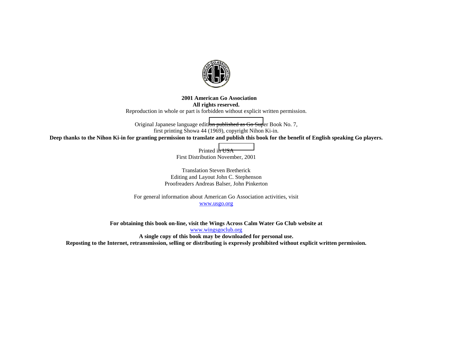

#### **2001 American Go Association All rights reserved.**  Reproduction in whole or part is forbidden without explicit written permission.

Original Japanese language editi[on](http://www.wingsgoclub.org/) [published](http://www.wingsgoclub.org/) [as](http://www.wingsgoclub.org/) [Go](http://www.wingsgoclub.org/) [Sup](http://www.wingsgoclub.org/)er Book No. 7, first printing Showa 44 (1969), copyright Nihon Ki-in. **Deep thanks to the Nihon Ki-in for granting permission to translate and publish this book for the benefit of English speaking Go players.** 

> Printed i[n](http://www.usgo.org/) [USA](http://www.usgo.org/) First Distribution November, 2001

Translation Steven Bretherick Editing and Layout John C. Stephenson Proofreaders Andreas Balser, John Pinkerton

For general information about American Go Association activities, visit www.usgo.org

**For obtaining this book on-line, visit the Wings Across Calm Water Go Club website at**  www.wingsgoclub.org **A single copy of this book may be downloaded for personal use. Reposting to the Internet, retransmission, selling or distributing is expressly prohibited without explicit written permission.**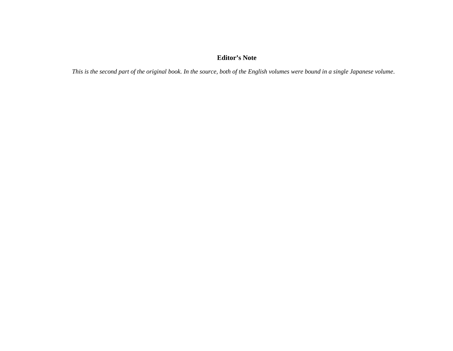## **Editor's Note**

*This is the second part of the original book. In the source, both of the English volumes were bound in a single Japanese volume*.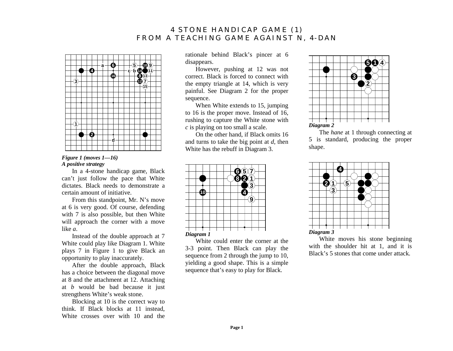# **4 STONE HANDICAP GAME (1) FROM A TEACHING GAME AGAINST N, 4-DAN**



## *Figure 1 (moves 1—16) A positive strategy*

In a 4-stone handicap game, Black can't just follow the pace that White dictates. Black needs to demonstrate a certain amount of initiative.

From this standpoint, Mr. N's move at 6 is very good. Of course, defending with 7 is also possible, but then White will approach the corner with a move like *a*.

Instead of the double approach at 7 White could play like Diagram 1. White plays 7 in Figure 1 to give Black an opportunity to play inaccurately.

After the double approach, Black has a choice between the diagonal move at 8 and the attachment at 12. Attaching at *b* would be bad because it just strengthens White's weak stone.

Blocking at 10 is the correct way to think. If Black blocks at 11 instead, White crosses over with 10 and the

rationale behind Black's pincer at 6 disappears.

However, pushing at 12 was not correct. Black is forced to connect with the empty triangle at 14, which is very painful. See Diagram 2 for the proper sequence.

When White extends to 15, jumping to 16 is the proper move. Instead of 16, rushing to capture the White stone with *<sup>c</sup>* is playing on too small a scale.

On the other hand, if Black omits 16 and turns to take the big point at *d*, then White has the rebuff in Diagram 3.



White could enter the corner at the 3-3 point. Then Black can play the sequence from 2 through the jump to 10, yielding a good shape. This is a simple sequence that's easy to play for Black.



The *hane* at 1 through connecting at 5 is standard, producing the proper shape.



White moves his stone beginning with the shoulder hit at 1, and it is Black's 5 stones that come under attack.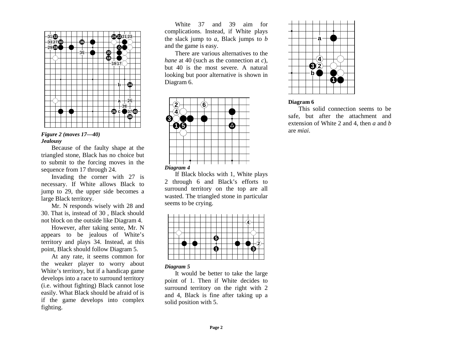

## *Figure 2 (moves 17—40) Jealousy*

Because of the faulty shape at the triangled stone, Black has no choice but to submit to the forcing moves in the sequence from 17 through 24.

Invading the corner with 27 is necessary. If White allows Black to jump to 29, the upper side becomes a large Black territory.

Mr. N responds wisely with 28 and 30. That is, instead of 30 , Black should not block on the outside like Diagram 4.

However, after taking sente, Mr. N appears to be jealous of White's territory and plays 34. Instead, at this point, Black should follow Diagram 5.

At any rate, it seems common for the weaker player to worry about White's territory, but if a handicap game develops into a race to surround territory (i.e. without fighting) Black cannot lose easily. What Black should be afraid of is if the game develops into complex fighting.

White 37 and 39 aim for complications. Instead, if White plays the slack jump to *<sup>a</sup>*, Black jumps to *b* and the game is easy.

There are various alternatives to the *hane* at 40 (such as the connection at *c*), but 40 is the most severe. A natural looking but poor alternative is shown in Diagram 6.



If Black blocks with 1, White plays 2 through 6 and Black's efforts to surround territory on the top are all wasted. The triangled stone in particular seems to be crying.



## *Diagram 5*

It would be better to take the large point of 1. Then if White decides to surround territory on the right with 2 and 4, Black is fine after taking up a solid position with 5.



## **Diagram 6**

This solid connection seems to be safe, but after the attachment and extension of White 2 and 4, then *a* and *b*are *miai*.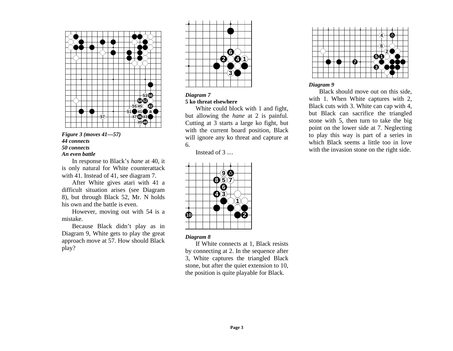



In response to Black's *hane* at 40, it is only natural for White counterattack with 41. Instead of 41, see diagram 7.

After White gives atari with 41 a difficult situation arises (see Diagram 8), but through Black 52, Mr. N holds his own and the battle is even.

However, moving out with 54 is a mistake.

Because Black didn't play as in Diagram 9, White gets to play the great approach move at 57. How should Black play?



#### *Diagram 7*  **5 ko threat elsewhere**

White could block with 1 and fight, but allowing the *hane* at 2 is painful. Cutting at 3 starts a large ko fight, but with the current board position, Black will ignore any ko threat and capture at 6.

Instead of 3 …



## *Diagram 8*

If White connects at 1, Black resists by connecting at 2. In the sequence after 3, White captures the triangled Black stone, but after the quiet extension to 10, the position is quite playable for Black.



## *Diagram 9*

Black should move out on this side, with 1. When White captures with 2, Black cuts with 3. White can cap with 4, but Black can sacrifice the triangled stone with 5, then turn to take the big point on the lower side at 7. Neglecting to play this way is part of a series in which Black seems a little too in love with the invasion stone on the right side.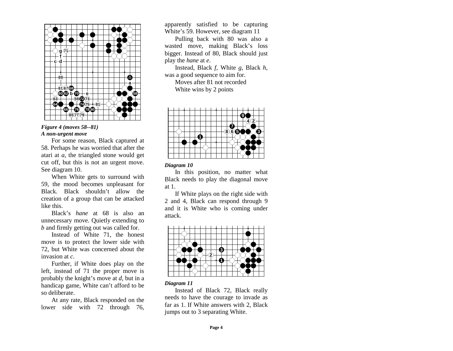

## *Figure 4 (moves 58--81) A non-urgent move*

For some reason, Black captured at 58. Perhaps he was worried that after the atari at *<sup>a</sup>*, the triangled stone would get cut off, but this is not an urgent move. See diagram 10.

When White gets to surround with 59, the mood becomes unpleasant for Black. Black shouldn't allow the creation of a group that can be attacked like this.

Black's *hane* at 68 is also an unnecessary move. Quietly extending to *b* and firmly getting out was called for.

Instead of White 71, the honest move is to protect the lower side with 72, but White was concerned about the invasion at *<sup>c</sup>*.

Further, if White does play on the left, instead of 71 the proper move is probably the knight's move at *d*, but in a handicap game, White can't afford to be so deliberate.

At any rate, Black responded on the lower side with 72 through 76, apparently satisfied to be capturing White's 59. However, see diagram 11

Pulling back with 80 was also a wasted move, making Black's loss bigger. Instead of 80, Black should just play the *hane* at *e*.

Instead, Black *f*, White *g*, Black *h*, was a good sequence to aim for. Moves after 81 not recorded White wins by 2 points



#### *Diagram 10*

In this position, no matter what Black needs to play the diagonal move at 1.

If White plays on the right side with 2 and 4, Black can respond through 9 and it is White who is coming under attack.



## *Diagram 11*

Instead of Black 72, Black really needs to have the courage to invade as far as 1. If White answers with 2, Black jumps out to 3 separating White.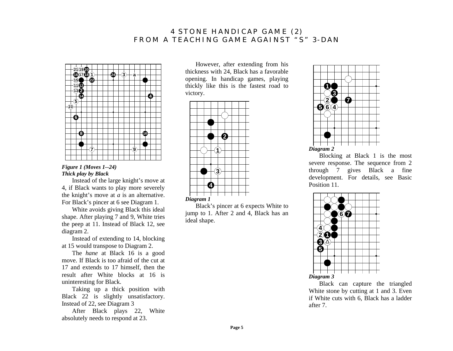# **4 STONE HANDICAP GAME (2) FROM A TEACHING GAME AGAINST "S" 3-DAN**



## *Figure 1 (Moves 1--24) Thick play by Black*

Instead of the large knight's move at 4, if Black wants to play more severely the knight's move at *a* is an alternative. For Black's pincer at 6 see Diagram 1.

White avoids giving Black this ideal shape. After playing 7 and 9, White tries the peep at 11. Instead of Black 12, see diagram 2.

Instead of extending to 14, blocking at 15 would transpose to Diagram 2.

The *hane* at Black 16 is a good move. If Black is too afraid of the cut at 17 and extends to 17 himself, then the result after White blocks at 16 is uninteresting for Black.

Taking up a thick position with Black 22 is slightly unsatisfactory. Instead of 22, see Diagram 3

After Black plays 22, White absolutely needs to respond at 23.

However, after extending from his thickness with 24, Black has a favorable opening. In handicap games, playing thickly like this is the fastest road to victory.



Black's pincer at 6 expects White to jump to 1. After 2 and 4, Black has an ideal shape.



Blocking at Black 1 is the most severe response. The sequence from 2 through 7 gives Black a fine development. For details, see Basic Position 11.



Black can capture the triangled White stone by cutting at 1 and 3. Even if White cuts with 6, Black has a ladder after 7.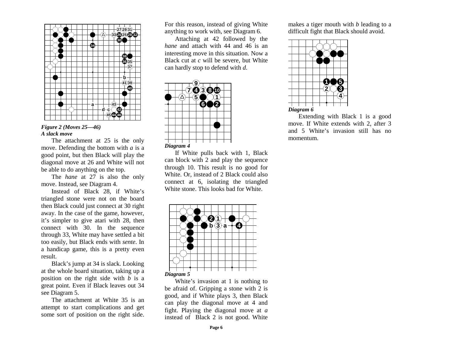

## *Figure 2 (Moves 25—46) A slack move*

The attachment at 25 is the only move. Defending the bottom with *a* is a good point, but then Black will play the diagonal move at 26 and White will not be able to do anything on the top.

The *hane* at 27 is also the only move. Instead, see Diagram 4.

Instead of Black 28, if White's triangled stone were not on the board then Black could just connect at 30 right away. In the case of the game, however, it's simpler to give atari with 28, then connect with 30. In the sequence through 33, White may have settled a bit too easily, but Black ends with *sente*. In a handicap game, this is a pretty even result.

Black's jump at 34 is slack. Looking at the whole board situation, taking up a position on the right side with *b* is a great point. Even if Black leaves out 34 see Diagram 5.

The attachment at White 35 is an attempt to start complications and get some sort of position on the right side.

For this reason, instead of giving White anything to work with, see Diagram 6.

Attaching at 42 followed by the *hane* and attach with 44 and 46 is an interesting move in this situation. Now a Black cut at *c* will be severe, but White can hardly stop to defend with *d*.



If White pulls back with 1, Black can block with 2 and play the sequence through 10. This result is no good for White. Or, instead of 2 Black could also connect at 6, isolating the triangled White stone. This looks bad for White.



White's invasion at 1 is nothing to be afraid of. Gripping a stone with 2 is good, and if White plays 3, then Black can play the diagonal move at 4 and fight. Playing the diagonal move at *a* instead of Black 2 is not good. White

makes a tiger mouth with *b* leading to a difficult fight that Black should avoid.



Extending with Black 1 is a good move. If White extends with 2, after 3 and 5 White's invasion still has no momentum.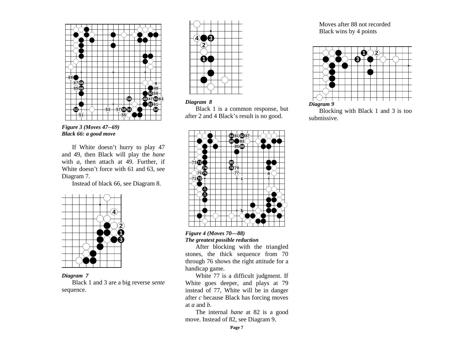

*Figure 3 (Moves 47--69) Black 66: a good move* 

If White doesn't hurry to play 47 and 49, then Black will play the *hane* with *a*, then attach at 49. Further, if White doesn't force with 61 and 63, see Diagram 7.

Instead of black 66, see Diagram 8.



## *Diagram 7*

Black 1 and 3 are a big reverse *sente* sequence.





Black 1 is a common response, but after 2 and 4 Black's result is no good.



## *Figure 4 (Moves 70—88) The greatest possible reduction*

After blocking with the triangled stones, the thick sequence from 70 through 76 shows the right attitude for a handicap game.

White 77 is a difficult judgment. If White goes deeper, and plays at 79 instead of 77, White will be in danger after *c* because Black has forcing moves at *a* and *b*.

The internal *hane* at 82 is a good move. Instead of 82, see Diagram 9.

Moves after 88 not recorded Black wins by 4 points



Blocking with Black 1 and 3 is too submissive.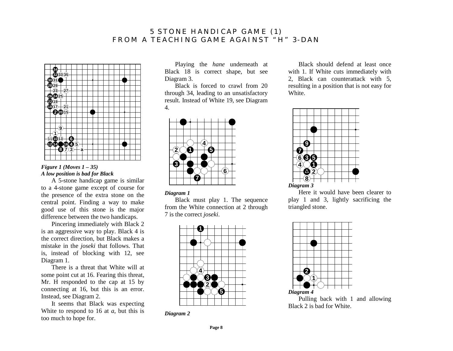# **5 STONE HANDICAP GAME (1) FROM A TEACHING GAME AGAINST "H" 3-DAN**



## *Figure 1 (Moves 1 – 35) A low position is bad for Black*

A 5-stone handicap game is similar to a 4-stone game except of course for the presence of the extra stone on the central point. Finding a way to make good use of this stone is the major difference between the two handicaps.

Pincering immediately with Black 2 is an aggressive way to play. Black 4 is the correct direction, but Black makes a mistake in the *joseki* that follows. That is, instead of blocking with 12, see Diagram 1.

There is a threat that White will at some point cut at 16. Fearing this threat, Mr. H responded to the cap at 15 by connecting at 16, but this is an error. Instead, see Diagram 2.

It seems that Black was expecting White to respond to 16 at *<sup>a</sup>*, but this is too much to hope for.

Playing the *hane* underneath at Black 18 is correct shape, but see Diagram 3.

Black is forced to crawl from 20 through 34, leading to an unsatisfactory result. Instead of White 19, see Diagram 4.



## *Diagram 1*

Black must play 1. The sequence from the White connection at 2 through 7 is the correct *joseki*.



*Diagram 2*

Black should defend at least once with 1. If White cuts immediately with 2, Black can counterattack with 5, resulting in a position that is not easy for White.



Here it would have been clearer to play 1 and 3, lightly sacrificing the triangled stone.



Pulling back with 1 and allowing Black 2 is bad for White.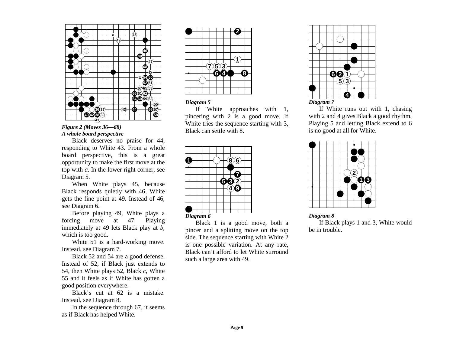

*Figure 2 (Moves 36—68) A whole board perspective* 

Black deserves no praise for 44, responding to White 43. From a whole board perspective, this is a great opportunity to make the first move at the top with *<sup>a</sup>*. In the lower right corner, see Diagram 5.

When White plays 45, because Black responds quietly with 46, White gets the fine point at 49. Instead of 46, see Diagram 6.

Before playing 49, White plays a forcing move at 47. Playing immediately at 49 lets Black play at *b*, which is too good.

White 51 is a hard-working move. Instead, see Diagram 7.

Black 52 and 54 are a good defense. Instead of 52, if Black just extends to 54, then White plays 52, Black *<sup>c</sup>*, White 55 and it feels as if White has gotten a good position everywhere.

Black's cut at 62 is a mistake. Instead, see Diagram 8.

In the sequence through 67, it seems as if Black has helped White.



## *Diagram 5*

If White approaches with 1, pincering with 2 is a good move. If White tries the sequence starting with 3, Black can settle with 8.



Black 1 is a good move, both a pincer and a splitting move on the top side. The sequence starting with White 2 is one possible variation. At any rate, Black can't afford to let White surround such a large area with 49.



If White runs out with 1, chasing with 2 and 4 gives Black a good rhythm. Playing 5 and letting Black extend to 6 is no good at all for White.



*Diagram 8*  If Black plays 1 and 3, White would be in trouble.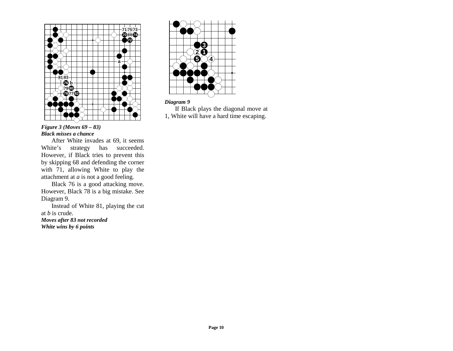

## *Figure 3 (Moves 69 – 83) Black misses a chance*

After White invades at 69, it seems White's strategy has succeeded. However, if Black tries to prevent this by skipping 68 and defending the corner with 71, allowing White to play the attachment at *a* is not a good feeling.

Black 76 is a good attacking move. However, Black 78 is a big mistake. See Diagram 9.

Instead of White 81, playing the cut at *b* is crude. *Moves after 83 not recorded* 

*White wins by 6 points* 



## *Diagram 9*

If Black plays the diagonal move at 1, White will have a hard time escaping.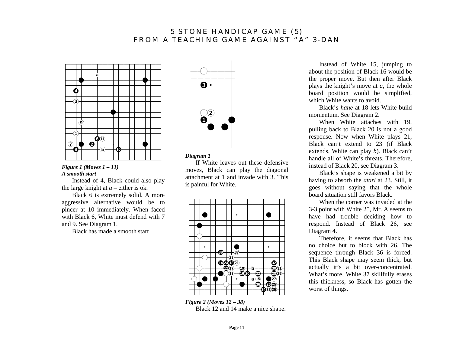# **5 STONE HANDICAP GAME (5) FROM A TEACHING GAME AGAINST "A" 3-DAN**



*Figure 1 (Moves 1 – 11) A smooth start* 

Instead of 4, Black could also play the large knight at  $a$  – either is ok.

Black 6 is extremely solid. A more aggressive alternative would be to pincer at 10 immediately. When faced with Black 6, White must defend with 7 and 9. See Diagram 1.

Black has made a smooth start



#### *Diagram 1*

If White leaves out these defensive moves, Black can play the diagonal attachment at 1 and invade with 3. This is painful for White.



*Figure 2 (Moves 12 – 38)*  Black 12 and 14 make a nice shape.

Instead of White 15, jumping to about the position of Black 16 would be the proper move. But then after Black plays the knight's move at *<sup>a</sup>*, the whole board position would be simplified, which White wants to avoid.

Black's *hane* at 18 lets White build momentum. See Diagram 2.

When White attaches with 19, pulling back to Black 20 is not a good response. Now when White plays 21, Black can't extend to 23 (if Black extends, White can play *b*). Black can't handle all of White's threats. Therefore, instead of Black 20, see Diagram 3.

Black's shape is weakened a bit by having to absorb the *atari* at 23. Still, it goes without saying that the whole board situation still favors Black.

When the corner was invaded at the 3-3 point with White 25, Mr. A seems to have had trouble deciding how to respond. Instead of Black 26, see Diagram 4.

Therefore, it seems that Black has no choice but to block with 26. The sequence through Black 36 is forced. This Black shape may seem thick, but actually it's a bit over-concentrated. What's more, White 37 skillfully erases this thickness, so Black has gotten the worst of things.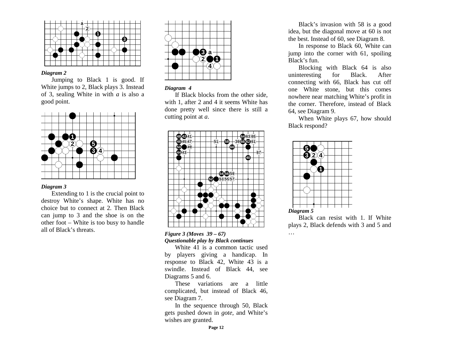

Jumping to Black 1 is good. If White jumps to 2, Black plays 3. Instead of 3, sealing White in with *a* is also a good point.



#### *Diagram 3*

Extending to 1 is the crucial point to destroy White's shape. White has no choice but to connect at 2. Then Black can jump to 3 and the shoe is on the other foot – White is too busy to handle all of Black's threats.



#### *Diagram 4*

If Black blocks from the other side, with 1, after 2 and 4 it seems White has done pretty well since there is still a cutting point at *a*.



#### *Figure 3 (Moves 39 – 67) Questionable play by Black continues*

White 41 is a common tactic used by players giving a handicap. In response to Black 42, White 43 is a swindle. Instead of Black 44, see Diagrams 5 and 6.

These variations are a little complicated, but instead of Black 46, see Diagram 7.

In the sequence through 50, Black gets pushed down in *gote*, and White's wishes are granted.

Black's invasion with 58 is a good idea, but the diagonal move at 60 is not the best. Instead of 60, see Diagram 8.

In response to Black 60, White can jump into the corner with 61, spoiling Black's fun.

Blocking with Black 64 is also uninteresting for Black. After connecting with 66, Black has cut off one White stone, but this comes nowhere near matching White's profit in the corner. Therefore, instead of Black 64, see Diagram 9.

When White plays 67, how should Black respond?



…

Black can resist with 1. If White plays 2, Black defends with 3 and 5 and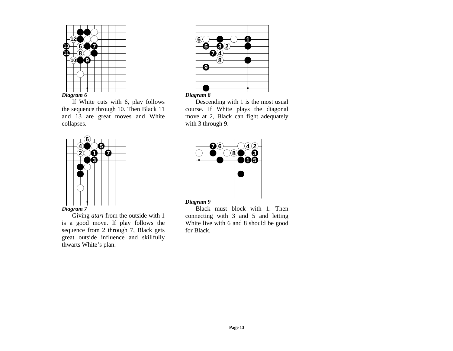

If White cuts with 6, play follows the sequence through 10. Then Black 11 and 13 are great moves and White collapses.



Giving *atari* from the outside with 1 is a good move. If play follows the sequence from 2 through 7, Black gets great outside influence and skillfully thwarts White's plan.



Descending with 1 is the most usual course. If White plays the diagonal move at 2, Black can fight adequately with 3 through 9.



Black must block with 1. Then connecting with 3 and 5 and letting White live with 6 and 8 should be good for Black.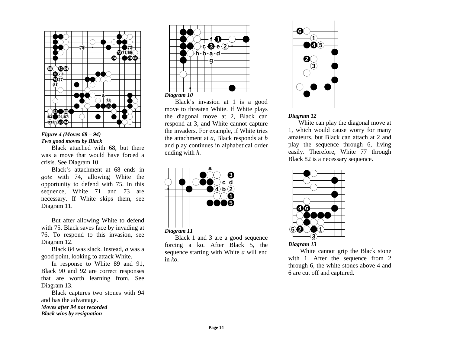

## *Figure 4 (Moves 68 – 94) Two good moves by Black*

Black attached with 68, but there was a move that would have forced a crisis. See Diagram 10.

Black's attachment at 68 ends in *gote* with 74, allowing White the opportunity to defend with 75. In this sequence, White 71 and 73 are necessary. If White skips them, see Diagram 11.

But after allowing White to defend with 75, Black saves face by invading at 76. To respond to this invasion, see Diagram 12.

Black 84 was slack. Instead, *a* was a good point, looking to attack White.

In response to White 89 and 91, Black 90 and 92 are correct responses that are worth learning from. See Diagram 13.

Black captures two stones with 94 and has the advantage.

*Moves after 94 not recorded Black wins by resignation*



Black's invasion at 1 is a good move to threaten White. If White plays the diagonal move at 2, Black can respond at 3, and White cannot capture the invaders. For example, if White tries the attachment at *<sup>a</sup>*, Black responds at *b* and play continues in alphabetical order ending with *h*.



Black 1 and 3 are a good sequence forcing a ko. After Black 5, the sequence starting with White *a* will end in *ko*.



## *Diagram 12*

White can play the diagonal move at 1, which would cause worry for many amateurs, but Black can attach at 2 and play the sequence through 6, living easily. Therefore, White 77 through Black 82 is a necessary sequence.



*Diagram 13* 

White cannot grip the Black stone with 1. After the sequence from 2 through 6, the white stones above 4 and 6 are cut off and captured.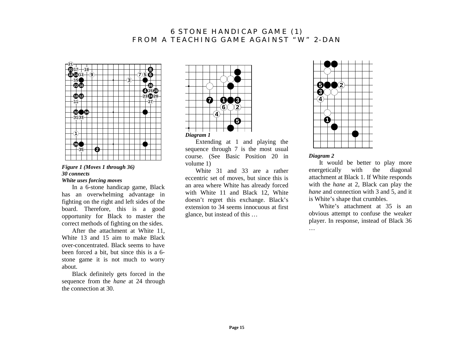# **6 STONE HANDICAP GAME (1) FROM A TEACHING GAME AGAINST "W" 2-DAN**



## *Figure 1 (Moves 1 through 36) 30 connects White uses forcing moves*

In a 6-stone handicap game, Black has an overwhelming advantage in fighting on the right and left sides of the board. Therefore, this is a good opportunity for Black to master the correct methods of fighting on the sides.

After the attachment at White 11, White 13 and 15 aim to make Black over-concentrated. Black seems to have been forced a bit, but since this is a 6 stone game it is not much to worry about.

Black definitely gets forced in the sequence from the *hane* at 24 through the connection at 30.



Extending at 1 and playing the sequence through 7 is the most usual course. (See Basic Position 20 in volume 1)

White 31 and 33 are a rather eccentric set of moves, but since this is an area where White has already forced with White 11 and Black 12, White doesn't regret this exchange. Black's extension to 34 seems innocuous at first glance, but instead of this …



## *Diagram 2*

It would be better to play more energetically with the diagonal attachment at Black 1. If White responds with the *hane* at 2, Black can play the *hane* and connection with 3 and 5, and it is White's shape that crumbles.

White's attachment at 35 is an obvious attempt to confuse the weaker player. In response, instead of Black 36 …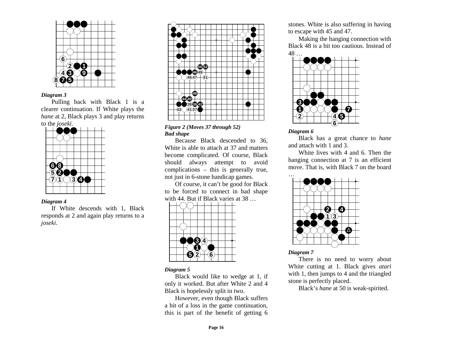

Pulling back with Black 1 is a clearer continuation. If White plays the *hane* at 2, Black plays 3 and play returns to the *joseki*.



#### *Diagram 4*

If White descends with 1, Black responds at 2 and again play returns to a *joseki*.



*Figure 2 (Moves 37 through 52) Bad shape* 

Because Black descended to 36, White is able to attach at 37 and matters become complicated. Of course, Black should always attempt to avoid complications – this is generally true, not just in 6-stone handicap games.

Of course, it can't be good for Black to be forced to connect in bad shape with 44. But if Black varies at 38 …



## *Diagram 5*

Black would like to wedge at 1, if only it worked. But after White 2 and 4 Black is hopelessly split in two.

However, even though Black suffers a bit of a loss in the game continuation, this is part of the benefit of getting 6

stones. White is also suffering in having to escape with 45 and 47.

Making the hanging connection with Black 48 is a bit too cautious. Instead of 48 …



#### *Diagram 6*

Black has a great chance to *hane* and attach with 1 and 3.

White lives with 4 and 6. Then the hanging connection at 7 is an efficient move. That is, with Black 7 on the board



*Diagram 7* 

There is no need to worry about White cutting at 1. Black gives *atari* with 1, then jumps to 4 and the triangled stone is perfectly placed.

Black's *hane* at 50 is weak-spirited.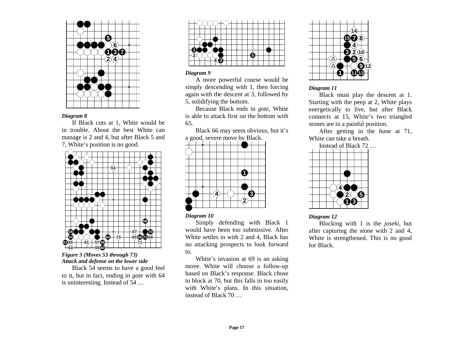

If Black cuts at 1, White would be in trouble. About the best White can manage is 2 and 4, but after Black 5 and 7, White's position is no good.



*Figure 3 (Moves 53 through 73) Attack and defense on the lower side* 

Black 54 seems to have a good feel to it, but in fact, ending in *gote* with 64 is uninteresting. Instead of 54 …



## *Diagram 9*

A more powerful course would be simply descending with 1, then forcing again with the descent at 3, followed by 5, solidifying the bottom.

Because Black ends in *gote*, White is able to attack first on the bottom with 65.

Black 66 may seem obvious, but it's a good, severe move by Black.



## *Diagram 10*

Simply defending with Black 1 would have been too submissive. After White settles in with 2 and 4, Black has no attacking prospects to look forward to.

White's invasion at 69 is an asking move. White will choose a follow-up based on Black's response. Black chose to block at 70, but this falls in too easily with White's plans. In this situation, instead of Black 70 …



## *Diagram 11*

Black must play the descent at 1. Starting with the peep at 2, White plays energetically to live, but after Black connects at 15, White's two triangled stones are in a painful position.

After getting in the *hane* at 71, White can take a breath.



## *Diagram 12*

Blocking with 1 is the *joseki*, but after capturing the stone with 2 and 4, White is strengthened. This is no good for Black.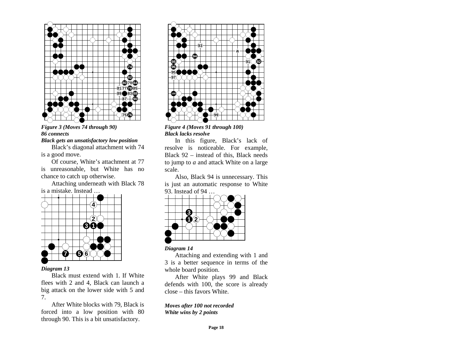

*Figure 3 (Moves 74 through 90) 86 connects Black gets an unsatisfactory low position* 

Black's diagonal attachment with 74 is a good move.

Of course, White's attachment at 77 is unreasonable, but White has no chance to catch up otherwise.

Attaching underneath with Black 78 is a mistake. Instead …



## *Diagram 13*

Black must extend with 1. If White flees with 2 and 4, Black can launch a big attack on the lower side with 5 and 7.

After White blocks with 79, Black is forced into a low position with 80 through 90. This is a bit unsatisfactory.



*Figure 4 (Moves 91 through 100) Black lacks resolve* 

In this figure, Black's lack of resolve is noticeable. For example, Black 92 – instead of this, Black needs to jump to *a* and attack White on a large scale.

Also, Black 94 is unnecessary. This is just an automatic response to White 93. Instead of 94 …



## *Diagram 14*

Attaching and extending with 1 and 3 is a better sequence in terms of the whole board position.

After White plays 99 and Black defends with 100, the score is already close – this favors White.

*Moves after 100 not recorded White wins by 2 points*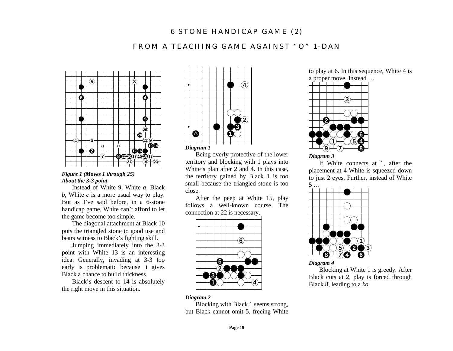# **6 STONE HANDICAP GAME (2)**

# **FROM A TEACHING GAME AGAINST "O" 1-DAN**



*Figure 1 (Moves 1 through 25) About the 3-3 point* 

Instead of White 9, White *a,* Black *b*, White *c* is a more usual way to play. But as I've said before, in a 6-stone handicap game, White can't afford to let the game become too simple.

The diagonal attachment at Black 10 puts the triangled stone to good use and bears witness to Black's fighting skill.

Jumping immediately into the 3-3 point with White 13 is an interesting idea. Generally, invading at 3-3 too early is problematic because it gives Black a chance to build thickness.

Black's descent to 14 is absolutely the right move in this situation.



Being overly protective of the lower territory and blocking with 1 plays into White's plan after 2 and 4. In this case, the territory gained by Black 1 is too small because the triangled stone is too close.

After the peep at White 15, play follows a well-known course. The connection at 22 is necessary.



## to play at 6. In this sequence, White 4 is a proper move. Instead …



*Diagram 3* 

If White connects at 1, after the placement at 4 White is squeezed down to just 2 eyes. Further, instead of White 5 …



*Diagram 4* 

Blocking at White 1 is greedy. After Black cuts at 2, play is forced through Black 8, leading to a *ko*.

#### *Diagram 2*

Blocking with Black 1 seems strong, but Black cannot omit 5, freeing White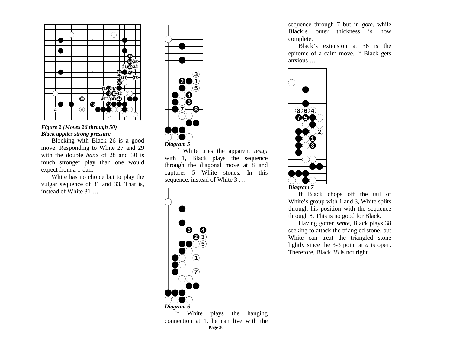

## *Figure 2 (Moves 26 through 50) Black applies strong pressure*

Blocking with Black 26 is a good move. Responding to White 27 and 29 with the double *hane* of 28 and 30 is much stronger play than one would expect from a 1-dan.

White has no choice but to play the vulgar sequence of 31 and 33. That is, instead of White 31 …



If White tries the apparent *tesuji* with 1, Black plays the sequence through the diagonal move at 8 and captures 5 White stones. In this sequence, instead of White 3 …



sequence through 7 but in *gote*, while Black's outer thickness is now complete.

Black's extension at 36 is the epitome of a calm move. If Black gets anxious …



If Black chops off the tail of White's group with 1 and 3, White splits through his position with the sequence through 8. This is no good for Black.

Having gotten *sente*, Black plays 38 seeking to attack the triangled stone, but White can treat the triangled stone lightly since the 3-3 point at *a* is open. Therefore, Black 38 is not right.

**Page 20**  plays the hanging connection at 1, he can live with the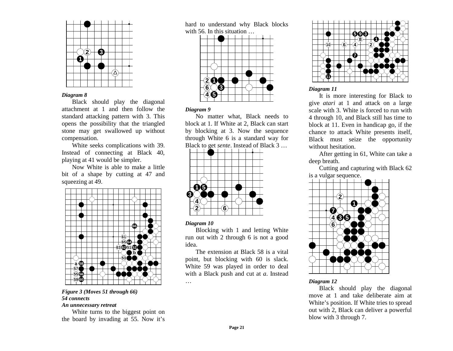

Black should play the diagonal attachment at 1 and then follow the standard attacking pattern with 3. This opens the possibility that the triangled stone may get swallowed up without compensation.

White seeks complications with 39. Instead of connecting at Black 40, playing at 41 would be simpler.

Now White is able to make a little bit of a shape by cutting at 47 and squeezing at 49.



#### *Figure 3 (Moves 51 through 66) 54 connects An unnecessary retreat*

White turns to the biggest point on the board by invading at 55. Now it's

hard to understand why Black blocks with 56. In this situation …



#### *Diagram 9*

No matter what, Black needs to block at 1. If White at 2, Black can start by blocking at 3. Now the sequence through White 6 is a standard way for Black to get *sente*. Instead of Black 3 …



#### *Diagram 10*

…

Blocking with 1 and letting White run out with 2 through 6 is not a good idea.

The extension at Black 58 is a vital point, but blocking with 60 is slack. White 59 was played in order to deal with a Black push and cut at *a*. Instead



## *Diagram 11*

It is more interesting for Black to give *atari* at 1 and attack on a large scale with 3. White is forced to run with 4 through 10, and Black still has time to block at 11. Even in handicap go, if the chance to attack White presents itself, Black must seize the opportunity without hesitation.

After getting in 61, White can take a deep breath.

Cutting and capturing with Black 62 is a vulgar sequence.



#### *Diagram 12*

Black should play the diagonal move at 1 and take deliberate aim at White's position. If White tries to spread out with 2, Black can deliver a powerful blow with 3 through 7.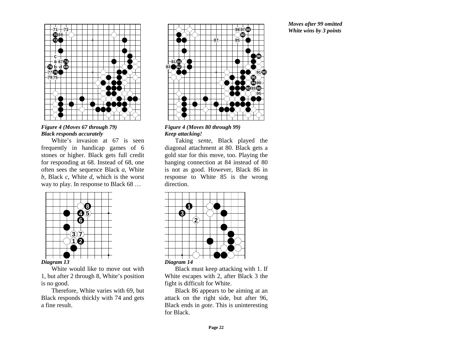

*Figure 4 (Moves 67 through 79) Black responds accurately* 

White's invasion at 67 is seen frequently in handicap games of 6 stones or higher. Black gets full credit for responding at 68. Instead of 68, one often sees the sequence Black *<sup>a</sup>*, White *b*, Black *<sup>c</sup>*, White *d*, which is the worst way to play. In response to Black 68 …



*Diagram 13* 

White would like to move out with 1, but after 2 through 8, White's position is no good.

Therefore, White varies with 69, but Black responds thickly with 74 and gets a fine result.





Taking *sente*, Black played the diagonal attachment at 80. Black gets a gold star for this move, too. Playing the hanging connection at 84 instead of 80 is not as good. However, Black 86 in response to White 85 is the wrong direction.



Black must keep attacking with 1. If

White escapes with 2, after Black 3 the fight is difficult for White.

Black 86 appears to be aiming at an attack on the right side, but after 96, Black ends in *gote*. This is uninteresting for Black.

*Moves after 99 omitted White wins by 3 points*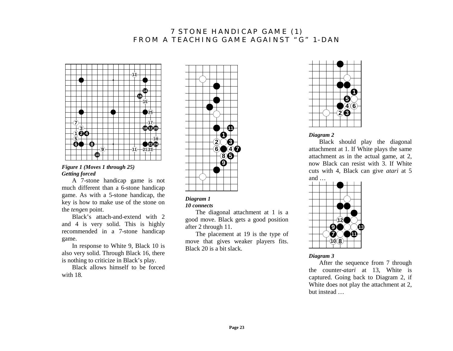# **7 STONE HANDICAP GAME (1) FROM A TEACHING GAME AGAINST "G" 1-DAN**



## *Figure 1 (Moves 1 through 25) Getting forced*

A 7-stone handicap game is not much different than a 6-stone handicap game. As with a 5-stone handicap, the key is how to make use of the stone on the *tengen* point.

Black's attach-and-extend with 2 and 4 is very solid. This is highly recommended in a 7-stone handicap game.

In response to White 9, Black 10 is also very solid. Through Black 16, there is nothing to criticize in Black's play.

Black allows himself to be forced with 18.



#### *Diagram 1 10 connects*

The diagonal attachment at 1 is a good move. Black gets a good position after 2 through 11.

The placement at 19 is the type of move that gives weaker players fits. Black 20 is a bit slack.



#### *Diagram 2*

Black should play the diagonal attachment at 1. If White plays the same attachment as in the actual game, at 2, now Black can resist with 3. If White cuts with 4, Black can give *atari* at 5 and …



*Diagram 3* 

After the sequence from 7 through the counter-*atari* at 13, White is captured. Going back to Diagram 2, if White does not play the attachment at 2, but instead …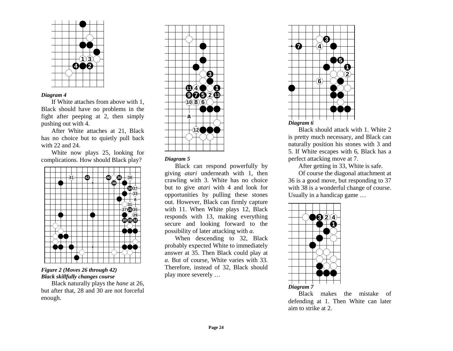

If White attaches from above with 1, Black should have no problems in the fight after peeping at 2, then simply pushing out with 4.

After White attaches at 21, Black has no choice but to quietly pull back with 22 and 24.

White now plays 25, looking for complications. How should Black play?



*Figure 2 (Moves 26 through 42) Black skillfully changes course* 

Black naturally plays the *hane* at 26, but after that, 28 and 30 are not forceful enough.



## *Diagram 5*

Black can respond powerfully by giving *atari* underneath with 1, then crawling with 3. White has no choice but to give *atari* with 4 and look for opportunities by pulling these stones out. However, Black can firmly capture with 11. When White plays 12, Black responds with 13, making everything secure and looking forward to the possibility of later attacking with *<sup>a</sup>*.

When descending to 32, Black probably expected White to immediately answer at 35. Then Black could play at *<sup>a</sup>*. But of course, White varies with 33. Therefore, instead of 32, Black should play more severely …



Black should attack with 1. White 2 is pretty much necessary, and Black can naturally position his stones with 3 and 5. If White escapes with 6, Black has a perfect attacking move at 7.

After getting in 33, White is safe.

Of course the diagonal attachment at 36 is a good move, but responding to 37 with 38 is a wonderful change of course. Usually in a handicap game …



Black makes the mistake of defending at 1. Then White can later aim to strike at 2.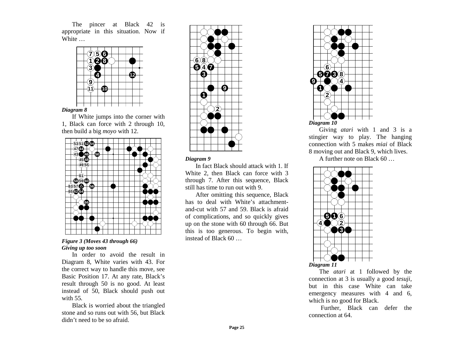The pincer at Black 42 is appropriate in this situation. Now if White …



If White jumps into the corner with 1, Black can force with 2 through 10, then build a big *moyo* with 12.



*Figure 3 (Moves 43 through 66) Giving up too soon* 

In order to avoid the result in Diagram 8, White varies with 43. For the correct way to handle this move, see Basic Position 17. At any rate, Black's result through 50 is no good. At least instead of 50, Black should push out with 55.

Black is worried about the triangled stone and so runs out with 56, but Black didn't need to be so afraid.



#### *Diagram 9*

In fact Black should attack with 1. If White 2, then Black can force with 3 through 7. After this sequence, Black still has time to run out with 9.

After omitting this sequence, Black has to deal with White's attachmentand-cut with 57 and 59. Black is afraid of complications, and so quickly gives up on the stone with 60 through 66. But this is too generous. To begin with, instead of Black 60 …



Giving *atari* with 1 and 3 is a stingier way to play. The hanging connection with 5 makes *miai* of Black 8 moving out and Black 9, which lives.

A further note on Black 60 …



The *atari* at 1 followed by the connection at 3 is usually a good *tesuji*, but in this case White can take emergency measures with 4 and 6, which is no good for Black.

 Further, Black can defer the connection at 64.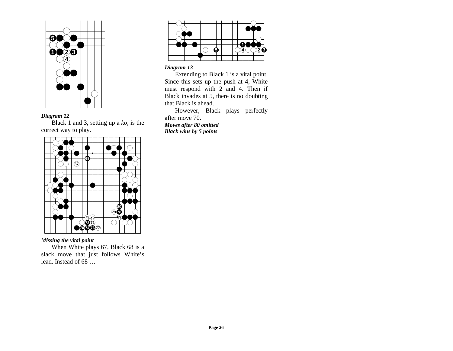

Black 1 and 3, setting up a *ko*, is the correct way to play.



# *Missing the vital point*

When White plays 67, Black 68 is a slack move that just follows White's lead. Instead of 68 …



## *Diagram 13*

Extending to Black 1 is a vital point. Since this sets up the push at 4, White must respond with 2 and 4. Then if Black invades at 5, there is no doubting that Black is ahead.

However, Black plays perfectly after move 70. *Moves after 80 omitted Black wins by 5 points*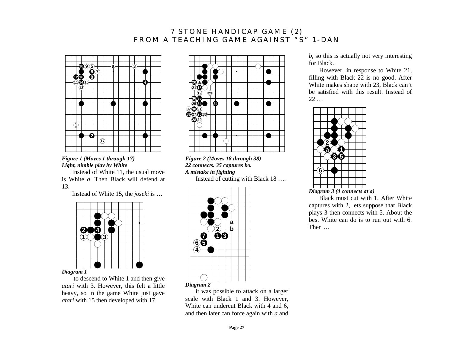# **7 STONE HANDICAP GAME (2) FROM A TEACHING GAME AGAINST "S" 1-DAN**



## *Figure 1 (Moves 1 through 17) Light, nimble play by White*

Instead of White 11, the usual move is White *a*. Then Black will defend at 13.

Instead of White 15, the *joseki* is …



to descend to White 1 and then give *atari* with 3. However, this felt a little heavy, so in the game White just gave *atari* with 15 then developed with 17.



*Figure 2 (Moves 18 through 38) 22 connects. 35 captures ko. A mistake in fighting*

Instead of cutting with Black 18 ….



it was possible to attack on a larger scale with Black 1 and 3. However, White can undercut Black with 4 and 6, and then later can force again with *a* and *b*, so this is actually not very interesting for Black.

However, in response to White 21, filling with Black 22 is no good. After White makes shape with 23, Black can't be satisfied with this result. Instead of  $22...$ 



Black must cut with 1. After White captures with 2, lets suppose that Black plays 3 then connects with 5. About the best White can do is to run out with 6. Then …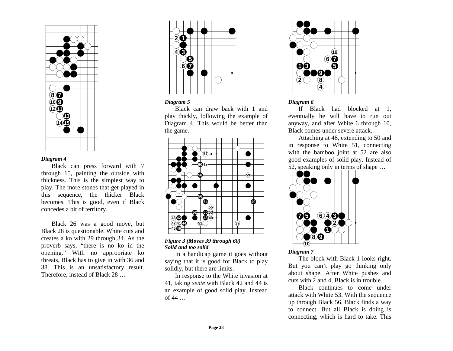

Black can press forward with 7 through 15, painting the outside with thickness. This is the simplest way to play. The more stones that get played in this sequence, the thicker Black becomes. This is good, even if Black concedes a bit of territory.

Black 26 was a good move, but Black 28 is questionable. White cuts and creates a ko with 29 through 34. As the proverb says, "there is no ko in the opening." With no appropriate ko threats, Black has to give in with 36 and 38. This is an unsatisfactory result. Therefore, instead of Black 28 …



## *Diagram 5*

Black can draw back with 1 and play thickly, following the example of Diagram 4. This would be better than the game.



*Figure 3 (Moves 39 through 60) Solid and too solid* 

In a handicap game it goes without saying that it is good for Black to play solidly, but there are limits.

In response to the White invasion at 41, taking *sente* with Black 42 and 44 is an example of good solid play. Instead of  $44$  ...



## *Diagram 6*

If Black had blocked at 1, eventually he will have to run out anyway, and after White 6 through 10, Black comes under severe attack.

Attaching at 48, extending to 50 and in response to White 51, connecting with the bamboo joint at 52 are also good examples of solid play. Instead of 52, speaking only in terms of shape …



*Diagram 7* 

The block with Black 1 looks right. But you can't play go thinking only about shape. After White pushes and cuts with 2 and 4, Black is in trouble.

Black continues to come under attack with White 53. With the sequence up through Black 56, Black finds a way to connect. But all Black is doing is connecting, which is hard to take. This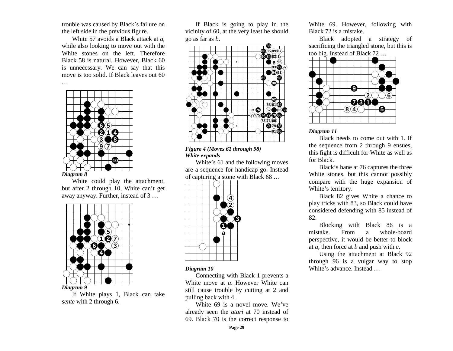trouble was caused by Black's failure on the left side in the previous figure.

White 57 avoids a Black attack at *<sup>a</sup>*, while also looking to move out with the White stones on the left. Therefore Black 58 is natural. However, Black 60 is unnecessary. We can say that this move is too solid. If Black leaves out 60



…

White could play the attachment, but after 2 through 10, White can't get away anyway. Further, instead of 3 …



If White plays 1, Black can take *sente* with 2 through 6.

If Black is going to play in the vicinity of 60, at the very least he should go as far as *b*.



## *Figure 4 (Moves 61 through 98) White expands*

White's 61 and the following moves are a sequence for handicap go. Instead of capturing a stone with Black 68 …



#### *Diagram 10*

Connecting with Black 1 prevents a White move at *a*. However White can still cause trouble by cutting at 2 and pulling back with 4.

White 69 is a novel move. We've already seen the *atari* at 70 instead of 69. Black 70 is the correct response to

White 69. However, following with Black 72 is a mistake.

Black adopted a strategy of sacrificing the triangled stone, but this is too big. Instead of Black 72 …



*Diagram 11* 

Black needs to come out with 1. If the sequence from 2 through 9 ensues, this fight is difficult for White as well as for Black.

Black's hane at 76 captures the three White stones, but this cannot possibly compare with the huge expansion of White's territory.

Black 82 gives White a chance to play tricks with 83, so Black could have considered defending with 85 instead of 82.

Blocking with Black 86 is a mistake. From a whole-board perspective, it would be better to block at *a*, then force at *b* and push with *<sup>c</sup>*.

Using the attachment at Black 92 through 96 is a vulgar way to stop White's advance. Instead …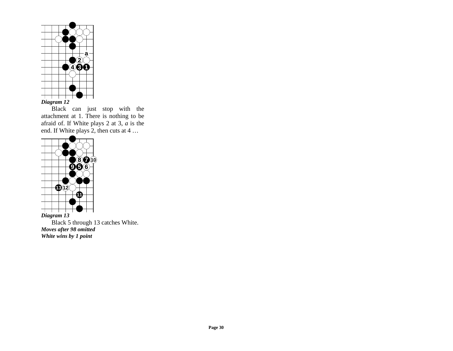

Black can just stop with the attachment at 1. There is nothing to be afraid of. If White plays 2 at 3, *a* is the end. If White plays 2, then cuts at 4 …



Black 5 through 13 catches White. *Moves after 98 omitted White wins by 1 point*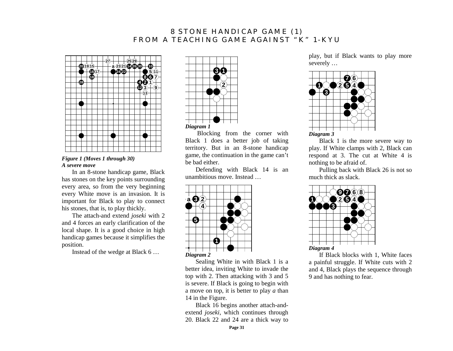# **8 STONE HANDICAP GAME (1) FROM A TEACHING GAME AGAINST "K" 1-KYU**



*Figure 1 (Moves 1 through 30) A severe move* 

In an 8-stone handicap game, Black has stones on the key points surrounding every area, so from the very beginning every White move is an invasion. It is important for Black to play to connect his stones, that is, to play thickly.

The attach-and extend *joseki* with 2 and 4 forces an early clarification of the local shape. It is a good choice in high handicap games because it simplifies the position.

Instead of the wedge at Black 6 …



Blocking from the corner with Black 1 does a better job of taking territory. But in an 8-stone handicap game, the continuation in the game can't be bad either.

Defending with Black 14 is an unambitious move. Instead …



Sealing White in with Black 1 is a better idea, inviting White to invade the top with 2. Then attacking with 3 and 5 is severe. If Black is going to begin with a move on top, it is better to play *a* than 14 in the Figure.

Black 16 begins another attach-andextend *joseki*, which continues through 20. Black 22 and 24 are a thick way to

play, but if Black wants to play more severely …



Black 1 is the more severe way to play. If White clamps with 2, Black can respond at 3. The cut at White 4 is nothing to be afraid of.

Pulling back with Black 26 is not so much thick as slack.



If Black blocks with 1, White faces a painful struggle. If White cuts with 2 and 4, Black plays the sequence through 9 and has nothing to fear.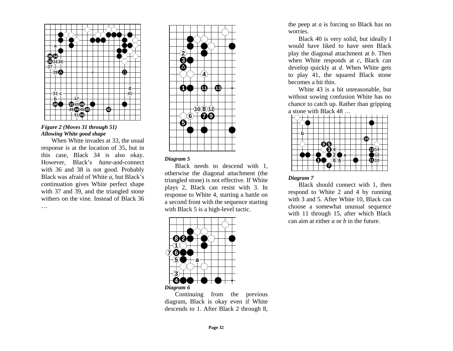

## *Figure 2 (Moves 31 through 51) Allowing White good shape*

When White invades at 33, the usual response is at the location of 35, but in this case, Black 34 is also okay. However, Black's *hane*-and-connect with 36 and 38 is not good. Probably Black was afraid of White *<sup>a</sup>*, but Black's continuation gives White perfect shape with 37 and 39, and the triangled stone withers on the vine. Instead of Black 36 …



## *Diagram 5*

Black needs to descend with 1, otherwise the diagonal attachment (the triangled stone) is not effective. If White plays 2, Black can resist with 3. In response to White 4, starting a battle on a second front with the sequence starting with Black 5 is a high-level tactic.



Continuing from the previous diagram, Black is okay even if White descends to 1. After Black 2 through 8,

the peep at *a* is forcing so Black has no worries.

Black 40 is very solid, but ideally I would have liked to have seen Black play the diagonal attachment at *b*. Then when White responds at *<sup>c</sup>*, Black can develop quickly at *d*. When White gets to play 41, the squared Black stone becomes a bit thin.

White 43 is a bit unreasonable, but without sowing confusion White has no chance to catch up. Rather than gripping a stone with Black 48 …



#### *Diagram 7*

Black should connect with 1, then respond to White 2 and 4 by running with 3 and 5. After White 10, Black can choose a somewhat unusual sequence with 11 through 15, after which Black can aim at either *a* or *b* in the future.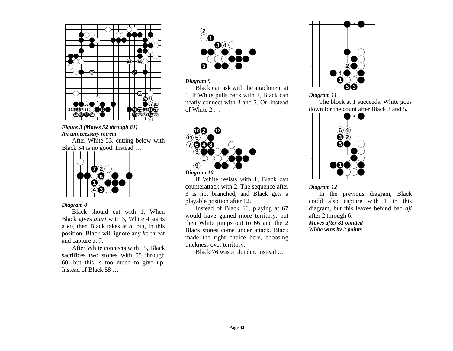

## *Figure 3 (Moves 52 through 81) An unnecessary retreat*

After White 53, cutting below with Black 54 is no good. Instead …



#### *Diagram 8*

Black should cut with 1. When Black gives *atari* with 3, White 4 starts <sup>a</sup>*ko*, then Black takes at *a*; but, in this position, Black will ignore any *ko* threat and capture at 7.

After White connects with 55, Black sacrifices two stones with 55 through 60, but this is too much to give up. Instead of Black 58 …



## *Diagram 9*

Black can ask with the attachment at 1. If White pulls back with 2, Black can neatly connect with 3 and 5. Or, instead of White 2 …



*Diagram 10* 

If White resists with 1, Black can counterattack with 2. The sequence after 3 is not branched, and Black gets a playable position after 12.

Instead of Black 66, playing at 67 would have gained more territory, but then White jumps out to 66 and the 2 Black stones come under attack. Black made the right choice here, choosing thickness over territory.

Black 76 was a blunder. Instead …



## *Diagram 11*

The block at 1 succeeds. White goes down for the count after Black 3 and 5.



## *Diagram 12*

In the previous diagram, Black could also capture with 1 in this diagram, but this leaves behind bad *aji* after 2 through 6.

*Moves after 81 omitted White wins by 2 points*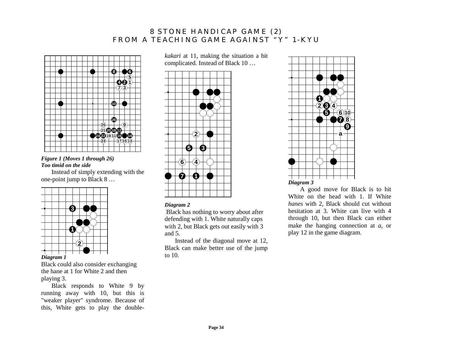# **8 STONE HANDICAP GAME (2) FROM A TEACHING GAME AGAINST "Y" 1-KYU**



## *Figure 1 (Moves 1 through 26) Too timid on the side*

Instead of simply extending with the one-point jump to Black 8 …



*Diagram 1*

Black could also consider exchanging the hane at 1 for White 2 and then playing 3.

Black responds to White 9 by running away with 10, but this is "weaker player" syndrome. Because of this, White gets to play the double*kakari* at 11, making the situation a bit complicated. Instead of Black 10 …



## *Diagram 2*

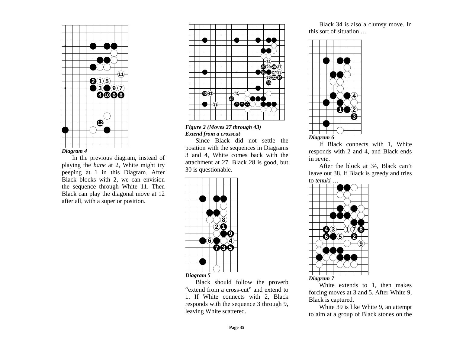

In the previous diagram, instead of playing the *hane* at 2, White might try peeping at 1 in this Diagram. After Black blocks with 2, we can envision the sequence through White 11. Then Black can play the diagonal move at 12 after all, with a superior position.





Since Black did not settle the position with the sequences in Diagrams 3 and 4, White comes back with the attachment at 27. Black 28 is good, but 30 is questionable.



Black should follow the proverb "extend from a cross-cut" and extend to 1. If White connects with 2, Black responds with the sequence 3 through 9, leaving White scattered.

Black 34 is also a clumsy move. In this sort of situation …



If Black connects with 1, White responds with 2 and 4, and Black ends in *sente*.

After the block at 34, Black can't leave out 38. If Black is greedy and tries to *tenuki* …



White extends to 1, then makes forcing moves at 3 and 5. After White 9, Black is captured.

White 39 is like White 9, an attempt to aim at a group of Black stones on the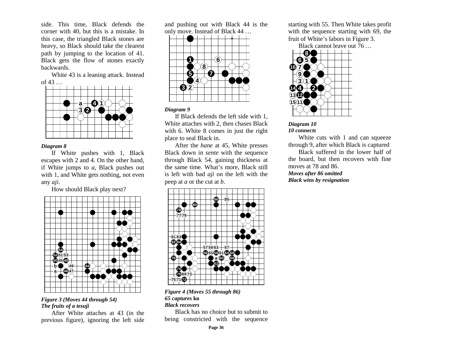side. This time, Black defends the corner with 40, but this is a mistake. In this case, the triangled Black stones are heavy, so Black should take the clearest path by jumping to the location of 41. Black gets the flow of stones exactly backwards.

White 43 is a leaning attack. Instead of 43 …



#### *Diagram 8*

If White pushes with 1, Black escapes with 2 and 4. On the other hand, if White jumps to *<sup>a</sup>*, Black pushes out with 1, and White gets nothing, not even any *aji*.

How should Black play next?



## *Figure 3 (Moves 44 through 54) The fruits of a tesuji*

After White attaches at 43 (in the previous figure), ignoring the left side and pushing out with Black 44 is the only move. Instead of Black 44 …



## *Diagram 9*

If Black defends the left side with 1, White attaches with 2, then chases Black with 6. White 8 comes in just the right place to seal Black in.

After the *hane* at 45, White presses Black down in *sente* with the sequence through Black 54, gaining thickness at the same time. What's more, Black still is left with bad *aji* on the left with the peep at *a* or the cut at *b*.



## *Figure 4 (Moves 55 through 86) 65 captures* **ko** *Black recovers*

Black has no choice but to submit to being constricted with the sequence starting with 55. Then White takes profit with the sequence starting with 69, the fruit of White's labors in Figure 3.

Black cannot leave out 76 …





White cuts with 1 and can squeeze through 9, after which Black is captured

Black suffered in the lower half of the board, but then recovers with fine moves at 78 and 86. *Moves after 86 omitted* 

*Black wins by resignation*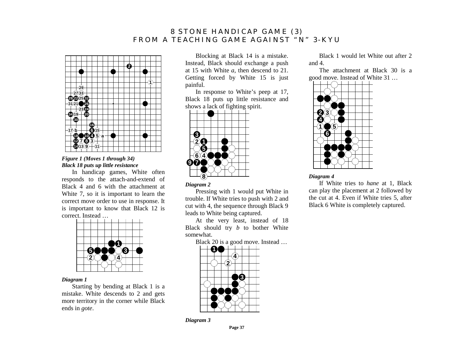# **8 STONE HANDICAP GAME (3) FROM A TEACHING GAME AGAINST "N" 3-KYU**



## *Figure 1 (Moves 1 through 34) Black 18 puts up little resistance*

In handicap games, White often responds to the attach-and-extend of Black 4 and 6 with the attachment at White 7, so it is important to learn the correct move order to use in response. It is important to know that Black 12 is correct. Instead …



#### *Diagram 1*

Starting by bending at Black 1 is a mistake. White descends to 2 and gets more territory in the corner while Black ends in *gote*.

Blocking at Black 14 is a mistake. Instead, Black should exchange a push at 15 with White *<sup>a</sup>*, then descend to 21. Getting forced by White 15 is just painful.

In response to White's peep at 17, Black 18 puts up little resistance and shows a lack of fighting spirit.



## *Diagram 2*

Pressing with 1 would put White in trouble. If White tries to push with 2 and cut with 4, the sequence through Black 9 leads to White being captured.

At the very least, instead of 18 Black should try *b* to bother White somewhat.

Black 20 is a good move. Instead …



*Diagram 3* 

Black 1 would let White out after 2 and 4.

The attachment at Black 30 is a good move. Instead of White 31 …



## *Diagram 4*

If White tries to *hane* at 1, Black can play the placement at 2 followed by the cut at 4. Even if White tries 5, after Black 6 White is completely captured.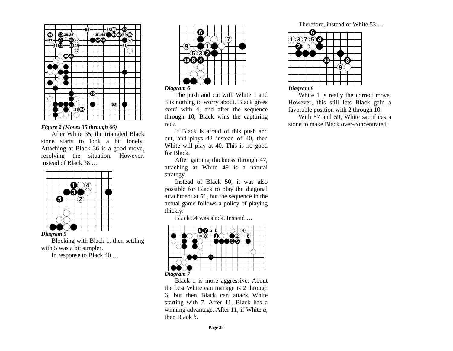

## *Figure 2 (Moves 35 through 66)*

After White 35, the triangled Black stone starts to look a bit lonely. Attaching at Black 36 is a good move, resolving the situation. However, instead of Black 38 …



*Diagram 5* 

Blocking with Black 1, then settling with 5 was a bit simpler.

In response to Black 40 …



The push and cut with White 1 and 3 is nothing to worry about. Black gives *atari* with 4, and after the sequence through 10, Black wins the capturing race.

If Black is afraid of this push and cut, and plays 42 instead of 40, then White will play at 40. This is no good for Black.

After gaining thickness through 47, attaching at White 49 is a natural strategy.

Instead of Black 50, it was also possible for Black to play the diagonal attachment at 51, but the sequence in the actual game follows a policy of playing thickly.

Black 54 was slack. Instead …



Black 1 is more aggressive. About the best White can manage is 2 through 6, but then Black can attack White starting with 7. After 11, Black has a winning advantage. After 11, if White *<sup>a</sup>*, then Black *b*.

Therefore, instead of White 53 …



White 1 is really the correct move. However, this still lets Black gain a favorable position with 2 through 10.

With 57 and 59, White sacrifices a stone to make Black over-concentrated.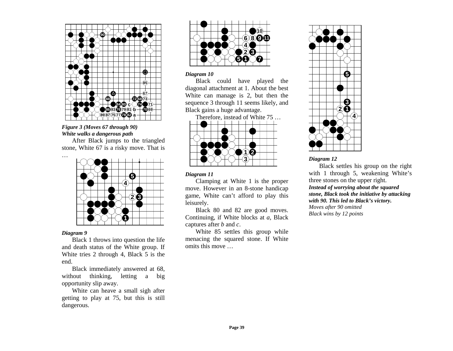

## *Figure 3 (Moves 67 through 90) White walks a dangerous path*

After Black jumps to the triangled stone, White 67 is a risky move. That is



## *Diagram 9*

Black 1 throws into question the life and death status of the White group. If White tries 2 through 4, Black 5 is the end.

Black immediately answered at 68, without thinking, letting a big opportunity slip away.

White can heave a small sigh after getting to play at 75, but this is still dangerous.



## *Diagram 10*

Black could have played the diagonal attachment at 1. About the best White can manage is 2, but then the sequence 3 through 11 seems likely, and Black gains a huge advantage.

Therefore, instead of White 75 …



## *Diagram 11*

Clamping at White 1 is the proper move. However in an 8-stone handicap game, White can't afford to play this leisurely.

Black 80 and 82 are good moves. Continuing, if White blocks at *<sup>a</sup>*, Black captures after *b* and *<sup>c</sup>*.

White 85 settles this group while menacing the squared stone. If White omits this move …



## *Diagram 12*

Black settles his group on the right with 1 through 5, weakening White's three stones on the upper right. *Instead of worrying about the squared stone, Black took the initiative by attacking with 90. This led to Black's victory. Moves after 90 omitted Black wins by 12 points* 

**Page 39**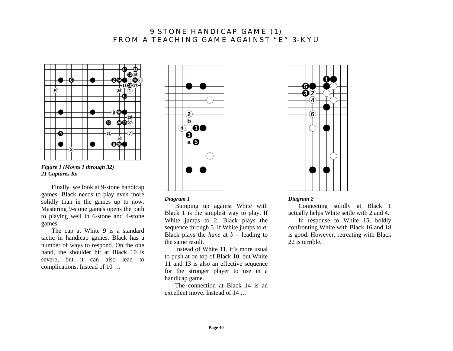# **9 STONE HANDICAP GAME (1) FROM A TEACHING GAME AGAINST "E" 3-KYU**



*Figure 1 (Moves 1 through 32) 21 Captures Ko* 

Finally, we look at 9-stone handicap games. Black needs to play even more solidly than in the games up to now. Mastering 9-stone games opens the path to playing well in 6-stone and 4-stone games.

The cap at White 9 is a standard tactic in handicap games. Black has a number of ways to respond. On the one hand, the shoulder hit at Black 10 is severe, but it can also lead to complications. Instead of 10 …



## *Diagram 1*

Bumping up against White with Black 1 is the simplest way to play. If White jumps to 2, Black plays the sequence through 5. If White jumps to *<sup>a</sup>*, Black plays the *hane* at  $b$  – leading to the same result.

Instead of White 11, it's more usual to push at on top of Black 10, but White 11 and 13 is also an effective sequence for the stronger player to use in a handicap game.

The connection at Black 14 is an excellent move. Instead of 14 …



## *Diagram 2*

Connecting solidly at Black 1 actually helps White settle with 2 and 4.

In response to White 15, boldly confronting White with Black 16 and 18 is good. However, retreating with Black 22 is terrible.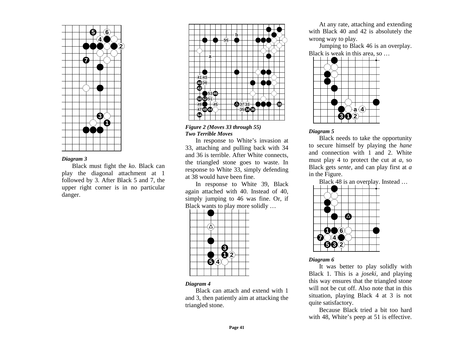

Black must fight the *ko*. Black can play the diagonal attachment at 1 followed by 3. After Black 5 and 7, the upper right corner is in no particular danger.





In response to White's invasion at 33, attaching and pulling back with 34 and 36 is terrible. After White connects, the triangled stone goes to waste. In response to White 33, simply defending at 38 would have been fine.

In response to White 39, Black again attached with 40. Instead of 40, simply jumping to 46 was fine. Or, if Black wants to play more solidly …



#### *Diagram 4*

Black can attach and extend with 1 and 3, then patiently aim at attacking the triangled stone.

At any rate, attaching and extending with Black 40 and 42 is absolutely the wrong way to play.

Jumping to Black 46 is an overplay. Black is weak in this area, so …



## *Diagram 5*

Black needs to take the opportunity to secure himself by playing the *hane* and connection with 1 and 2. White must play 4 to protect the cut at *<sup>a</sup>*, so Black gets *sente*, and can play first at *<sup>a</sup>* in the Figure.

Black 48 is an overplay. Instead …



## *Diagram 6*

It was better to play solidly with Black 1. This is a *joseki*, and playing this way ensures that the triangled stone will not be cut off. Also note that in this situation, playing Black 4 at 3 is not quite satisfactory.

Because Black tried a bit too hard with 48, White's peep at 51 is effective.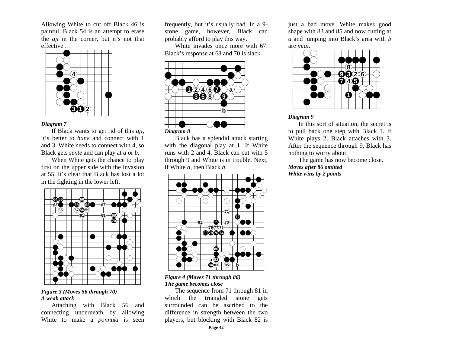Allowing White to cut off Black 46 is painful. Black 54 is an attempt to erase the *aji* in the corner, but it's not that effective …



## *Diagram 7*

If Black wants to get rid of this *aji*, it's better to *hane* and connect with 1 and 3. White needs to connect with 4, so Black gets *sente* and can play at *a* or *b*.

When White gets the chance to play first on the upper side with the invasion at 55, it's clear that Black has lost a lot in the fighting in the lower left.



## *Figure 3 (Moves 56 through 70) A weak attack*

Attaching with Black 56 and connecting underneath by allowing White to make a *ponnuki* is seen frequently, but it's usually bad. In a 9 stone game, however, Black can probably afford to play this way.

White invades once more with 67. Black's response at 68 and 70 is slack.



Black has a splendid attack starting with the diagonal play at 1. If White runs with 2 and 4, Black can cut with 5 through 9 and White is in trouble. Next, if White *<sup>a</sup>*, then Black *b*.



## *Figure 4 (Moves 71 through 86) The game becomes close*

The sequence from 71 through 81 in which the triangled stone gets surrounded can be ascribed to the difference in strength between the two players, but blocking with Black 82 is just a bad move. White makes good shape with 83 and 85 and now cutting at *<sup>a</sup>* and jumping into Black's area with *b* are *miai*.



## *Diagram 9*

In this sort of situation, the secret is to pull back one step with Black 1. If White plays 2, Black attaches with 3. After the sequence through 9, Black has nothing to worry about.

The game has now become close. *Moves after 86 omitted White wins by 2 points*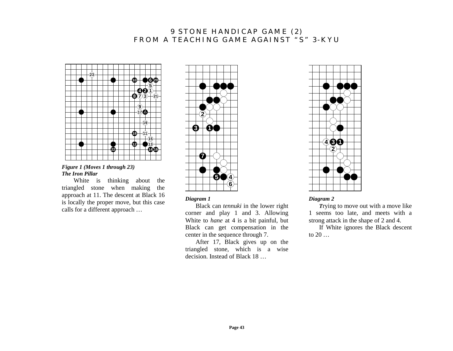# **9 STONE HANDICAP GAME (2) FROM A TEACHING GAME AGAINST "S" 3-KYU**



*Figure 1 (Moves 1 through 23) The Iron Pillar* 

 White is thinking about the triangled stone when making the approach at 11. The descent at Black 16 is locally the proper move, but this case calls for a different approach …



*Diagram 1* 

Black can *tennuki* in the lower right corner and play 1 and 3. Allowing White to *hane* at 4 is a bit painful, but Black can get compensation in the center in the sequence through 7.

After 17, Black gives up on the triangled stone, which is a wise decision. Instead of Black 18 …



*Diagram 2* 

*<sup>T</sup>*rying to move out with a move like 1 seems too late, and meets with a strong attack in the shape of 2 and 4.

If White ignores the Black descent to  $20...$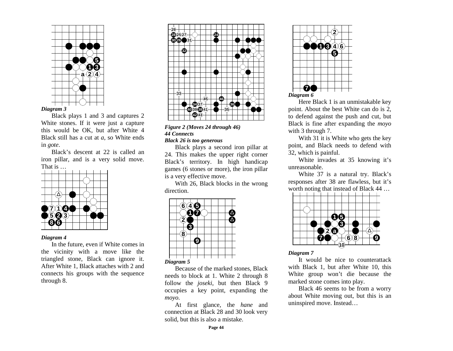

Black plays 1 and 3 and captures 2 White stones. If it were just a capture this would be OK, but after White 4 Black still has a cut at *<sup>a</sup>*, so White ends in *gote*.

Black's descent at 22 is called an iron pillar, and is a very solid move. That is …



## *Diagram 4*

In the future, even if White comes in the vicinity with a move like the triangled stone, Black can ignore it. After White 1, Black attaches with 2 and connects his groups with the sequence through 8.



*Figure 2 (Moves 24 through 46) 44 Connects Black 26 is too generous* 

Black plays a second iron pillar at 24. This makes the upper right corner Black's territory. In high handicap games (6 stones or more), the iron pillar is a very effective move.

With 26, Black blocks in the wrong direction.



Because of the marked stones, Black needs to block at 1. White 2 through 8 follow the *joseki*, but then Black 9 occupies a key point, expanding the *moyo*.

At first glance, the *hane* and connection at Black 28 and 30 look very solid, but this is also a mistake.



Here Black 1 is an unmistakable key point. About the best White can do is 2, to defend against the push and cut, but Black is fine after expanding the *moyo* with 3 through 7.

With 31 it is White who gets the key point, and Black needs to defend with 32, which is painful.

White invades at 35 knowing it's unreasonable.

White 37 is a natural try. Black's responses after 38 are flawless, but it's worth noting that instead of Black 44 …



#### *Diagram 7*

It would be nice to counterattack with Black 1, but after White 10, this White group won't die because the marked stone comes into play.

Black 46 seems to be from a worry about White moving out, but this is an uninspired move. Instead…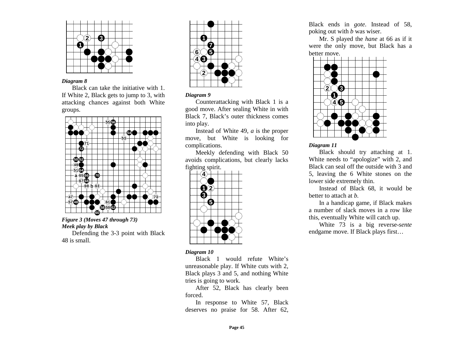

Black can take the initiative with 1. If White 2, Black gets to jump to 3, with attacking chances against both White groups.



*Figure 3 (Moves 47 through 73) Meek play by Black*  Defending the 3-3 point with Black 48 is small.



#### *Diagram 9*

Counterattacking with Black 1 is a good move. After sealing White in with Black 7, Black's outer thickness comes into play.

Instead of White 49, *a* is the proper move, but White is looking for complications.

Meekly defending with Black 50 avoids complications, but clearly lacks fighting spirit.



#### *Diagram 10*

Black 1 would refute White's unreasonable play. If White cuts with 2, Black plays 3 and 5, and nothing White tries is going to work.

After 52, Black has clearly been forced.

In response to White 57, Black deserves no praise for 58. After 62,

Black ends in *gote*. Instead of 58, poking out with *b* was wiser.

Mr. S played the *hane* at 66 as if it were the only move, but Black has a better move.



## *Diagram 11*

Black should try attaching at 1. White needs to "apologize" with 2, and Black can seal off the outside with 3 and 5, leaving the 6 White stones on the lower side extremely thin.

Instead of Black 68, it would be better to attach at *b*.

In a handicap game, if Black makes a number of slack moves in a row like this, eventually White will catch up.

White 73 is a big reverse-*sente* endgame move. If Black plays first…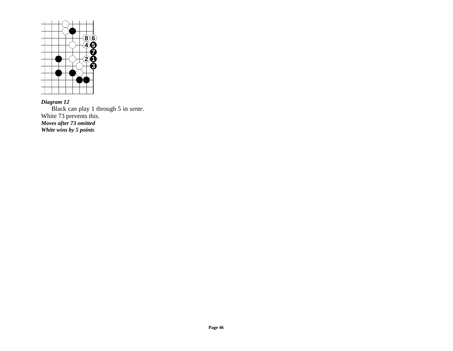

*Diagram 12*  Black can play 1 through 5 in *sente*. White 73 prevents this. *Moves after 73 omitted White wins by 5 points*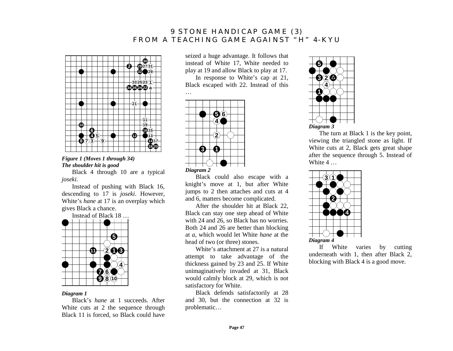# **9 STONE HANDICAP GAME (3) FROM A TEACHING GAME AGAINST "H" 4-KYU**



*Figure 1 (Moves 1 through 34) The shoulder hit is good* 

Black 4 through 10 are a typical *joseki*.

Instead of pushing with Black 16, descending to 17 is *joseki*. However, White's *hane* at 17 is an overplay which gives Black a chance.

Instead of Black 18 …



#### *Diagram 1*

Black's *hane* at 1 succeeds. After White cuts at 2 the sequence through Black 11 is forced, so Black could have seized a huge advantage. It follows that instead of White 17, White needed to play at 19 and allow Black to play at 17. In response to White's cap at 21,

Black escaped with 22. Instead of this



…

Black could also escape with a knight's move at 1, but after White jumps to 2 then attaches and cuts at 4 and 6, matters become complicated.

After the shoulder hit at Black 22, Black can stay one step ahead of White with 24 and 26, so Black has no worries. Both 24 and 26 are better than blocking at *<sup>a</sup>*, which would let White *hane* at the head of two (or three) stones.

White's attachment at 27 is a natural attempt to take advantage of the thickness gained by 23 and 25. If White unimaginatively invaded at 31, Black would calmly block at 29, which is not satisfactory for White.

Black defends satisfactorily at 28 and 30, but the connection at 32 is problematic…



The turn at Black 1 is the key point, viewing the triangled stone as light. If White cuts at 2, Black gets great shape after the sequence through 5. Instead of White 4 …



If White varies by cutting underneath with 1, then after Black 2, blocking with Black 4 is a good move.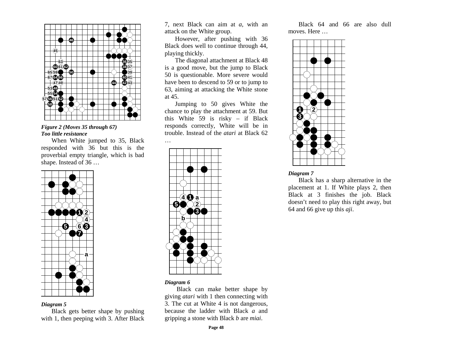

*Figure 2 (Moves 35 through 67) Too little resistance* 

When White jumped to 35, Black responded with 36 but this is the proverbial empty triangle, which is bad shape. Instead of 36 …



## *Diagram 5*

Black gets better shape by pushing with 1, then peeping with 3. After Black 7, next Black can aim at *<sup>a</sup>*, with an attack on the White group.

However, after pushing with 36 Black does well to continue through 44, playing thickly.

The diagonal attachment at Black 48 is a good move, but the jump to Black 50 is questionable. More severe would have been to descend to 59 or to jump to 63, aiming at attacking the White stone at 45.

Jumping to 50 gives White the chance to play the attachment at 59. But this White 59 is risky – if Black responds correctly, White will be in trouble. Instead of the *atari* at Black 62



*Diagram 6* 

 Black can make better shape by giving *atari* with 1 then connecting with 3. The cut at White 4 is not dangerous, because the ladder with Black *a* and gripping a stone with Black *b* are *miai*.

Black 64 and 66 are also dull moves. Here …



## *Diagram 7*

Black has a sharp alternative in the placement at 1. If White plays 2, then Black at 3 finishes the job. Black doesn't need to play this right away, but 64 and 66 give up this *aji*.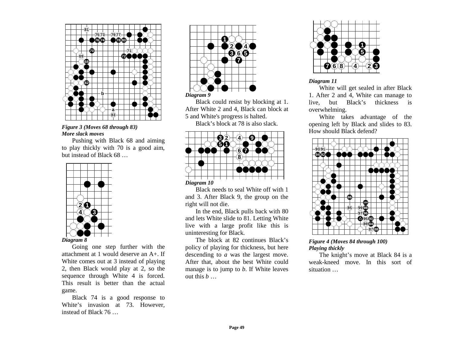

*Figure 3 (Moves 68 through 83) More slack moves* 

Pushing with Black 68 and aiming to play thickly with 70 is a good aim, but instead of Black 68 …



Going one step further with the attachment at 1 would deserve an A+. If White comes out at 3 instead of playing 2, then Black would play at 2, so the sequence through White 4 is forced. This result is better than the actual game.

Black 74 is a good response to White's invasion at 73. However, instead of Black 76 …



Black could resist by blocking at 1. After White 2 and 4, Black can block at 5 and White's progress is halted. Black's block at 78 is also slack.



Black needs to seal White off with 1 and 3. After Black 9, the group on the right will not die.

In the end, Black pulls back with 80 and lets White slide to 81. Letting White live with a large profit like this is uninteresting for Black.

The block at 82 continues Black's policy of playing for thickness, but here descending to *a* was the largest move. After that, about the best White could manage is to jump to *b*. If White leaves out this *b* …



*Diagram 11* 

White will get sealed in after Black 1. After 2 and 4, White can manage to live, but Black's thickness is overwhelming.

White takes advantage of the opening left by Black and slides to 83. How should Black defend?



## *Figure 4 (Moves 84 through 100) Playing thickly*

The knight's move at Black 84 is a weak-kneed move. In this sort of situation …